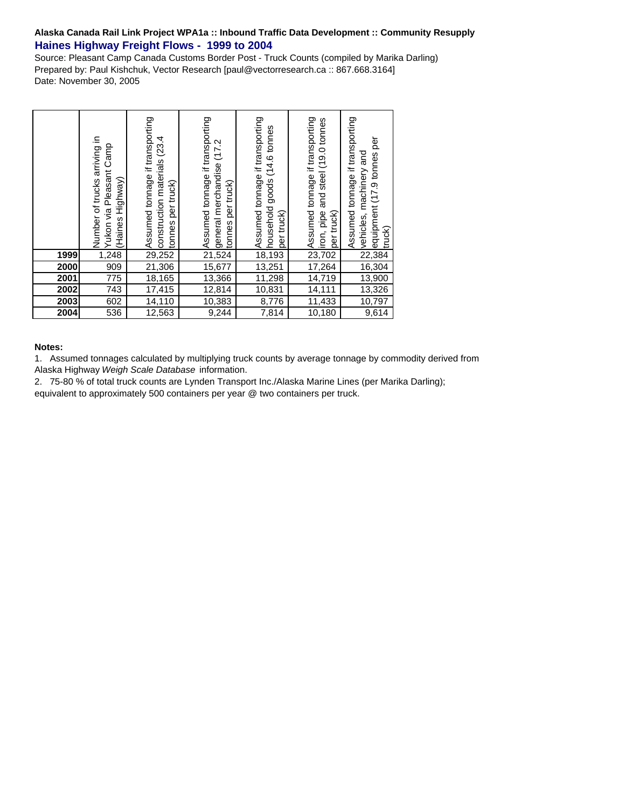## **Alaska Canada Rail Link Project WPA1a :: Inbound Traffic Data Development :: Community Resupply Haines Highway Freight Flows - 1999 to 2004**

Source: Pleasant Camp Canada Customs Border Post - Truck Counts (compiled by Marika Darling) Prepared by: Paul Kishchuk, Vector Research [paul@vectorresearch.ca :: 867.668.3164] Date: November 30, 2005

|      | Number of trucks arriving in<br>Yukon via Pleasant Camp<br>(Haines Highway) | Assumed tonnage if transporting<br>(23.4)<br>construction materials<br>per truck)<br>tonnes | Assumed tonnage if transporting<br>(17.2)<br>general merchandise<br>per truck)<br>tonnes | Assumed tonnage if transporting<br>household goods (14.6 tonnes<br>per truck) | Nassumed tonnage if transporting<br>عبار liron, pipe and steel (19.0 tonnes<br>العبار trundy<br>per truck) | Assumed tonnage if transporting<br>equipment (17.9 tonnes per<br>vehicles, machinery and<br>truck) |
|------|-----------------------------------------------------------------------------|---------------------------------------------------------------------------------------------|------------------------------------------------------------------------------------------|-------------------------------------------------------------------------------|------------------------------------------------------------------------------------------------------------|----------------------------------------------------------------------------------------------------|
| 1999 | 1,248                                                                       | 29,252                                                                                      | 21,524                                                                                   | 18,193                                                                        |                                                                                                            | 22,384                                                                                             |
| 2000 | 909                                                                         | 21,306                                                                                      | 15,677                                                                                   | 13,251                                                                        | 17,264                                                                                                     | 16,304                                                                                             |
| 2001 | 775                                                                         | 18,165                                                                                      | 13,366                                                                                   | 11,298                                                                        | 14,719                                                                                                     | 13,900                                                                                             |
| 2002 | $\overline{743}$                                                            | 17,415                                                                                      | 12,814                                                                                   | 10,831                                                                        | 14,111                                                                                                     | 13,326                                                                                             |
| 2003 | 602                                                                         | 14,110                                                                                      | 10,383                                                                                   | 8,776                                                                         | 11,433                                                                                                     | 10,797                                                                                             |
| 2004 | 536                                                                         | 12,563                                                                                      | 9,244                                                                                    | 7,814                                                                         | 10,180                                                                                                     | 9,614                                                                                              |

## **Notes:**

1. Assumed tonnages calculated by multiplying truck counts by average tonnage by commodity derived from Alaska Highway *Weigh Scale Database* information.

2. 75-80 % of total truck counts are Lynden Transport Inc./Alaska Marine Lines (per Marika Darling); equivalent to approximately 500 containers per year @ two containers per truck.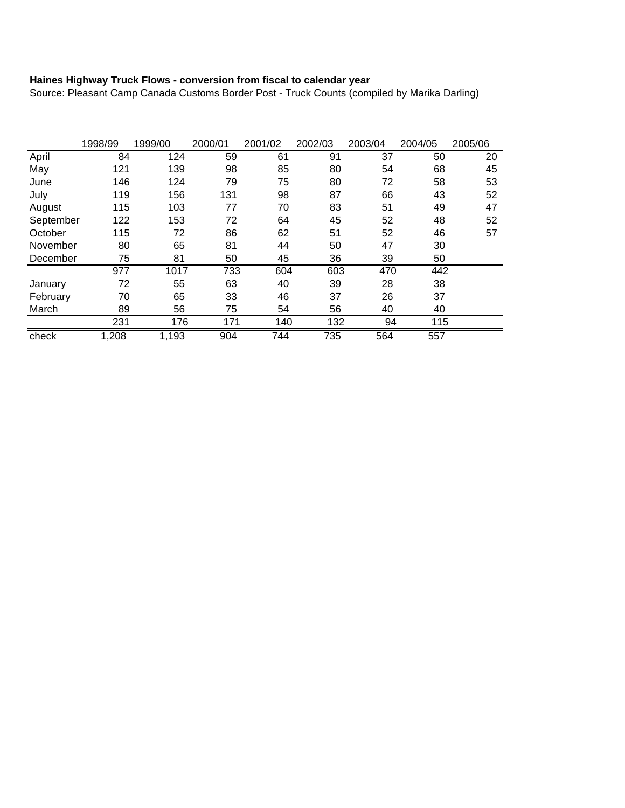## **Haines Highway Truck Flows - conversion from fiscal to calendar year**

Source: Pleasant Camp Canada Customs Border Post - Truck Counts (compiled by Marika Darling)

|           | 1998/99 | 1999/00 | 2000/01 | 2001/02 | 2002/03 | 2003/04 | 2004/05 | 2005/06 |
|-----------|---------|---------|---------|---------|---------|---------|---------|---------|
| April     | 84      | 124     | 59      | 61      | 91      | 37      | 50      | 20      |
| May       | 121     | 139     | 98      | 85      | 80      | 54      | 68      | 45      |
| June      | 146     | 124     | 79      | 75      | 80      | 72      | 58      | 53      |
| July      | 119     | 156     | 131     | 98      | 87      | 66      | 43      | 52      |
| August    | 115     | 103     | 77      | 70      | 83      | 51      | 49      | 47      |
| September | 122     | 153     | 72      | 64      | 45      | 52      | 48      | 52      |
| October   | 115     | 72      | 86      | 62      | 51      | 52      | 46      | 57      |
| November  | 80      | 65      | 81      | 44      | 50      | 47      | 30      |         |
| December  | 75      | 81      | 50      | 45      | 36      | 39      | 50      |         |
|           | 977     | 1017    | 733     | 604     | 603     | 470     | 442     |         |
| January   | 72      | 55      | 63      | 40      | 39      | 28      | 38      |         |
| February  | 70      | 65      | 33      | 46      | 37      | 26      | 37      |         |
| March     | 89      | 56      | 75      | 54      | 56      | 40      | 40      |         |
|           | 231     | 176     | 171     | 140     | 132     | 94      | 115     |         |
| check     | 1,208   | 1,193   | 904     | 744     | 735     | 564     | 557     |         |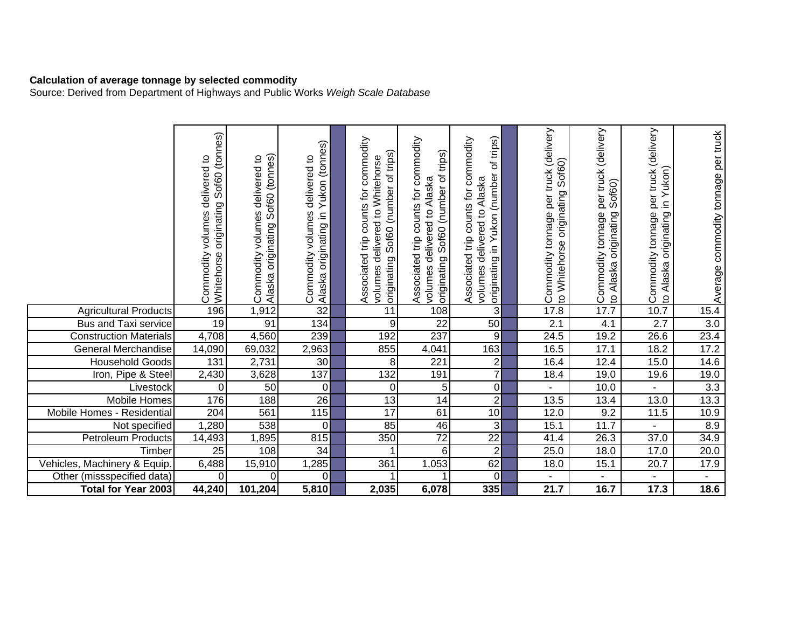## **Calculation of average tonnage by selected commodity**

Source: Derived from Department of Highways and Public Works *Weigh Scale Database*

|                               | originating Sof60 (tonnes)<br>delivered to<br>volumes<br>Commodity<br>Whitehorse | Alaska originating Sof60 (tonnes)<br>Commodity volumes delivered to | originating in Yukon (tonnes)<br>delivered to<br>volumes<br>Commodity<br>Alaska | Associated trip counts for commodity<br>originating Sof60 (number of trips)<br>volumes delivered to Whitehorse | commodity<br>trips)<br>originating Sof60 (number of<br>delivered to Alaska<br>counts for<br>Associated trip<br>volumes | of trips)<br>Associated trip counts for commodity<br>originating in Yukon (number<br>Alaska<br>volumes delivered to | Commodity tonnage per truck (delivery<br>Sof60)<br>originating<br>to Whitehorse | per truck (delivery<br>Sof60)<br>originating<br>Commodity tonnage<br>Alaska<br>$\mathbf{Q}$ | per truck (delivery<br>originating in Yukon)<br>Commodity tonnage<br>to Alaska | Average commodity tonnage per truck |
|-------------------------------|----------------------------------------------------------------------------------|---------------------------------------------------------------------|---------------------------------------------------------------------------------|----------------------------------------------------------------------------------------------------------------|------------------------------------------------------------------------------------------------------------------------|---------------------------------------------------------------------------------------------------------------------|---------------------------------------------------------------------------------|---------------------------------------------------------------------------------------------|--------------------------------------------------------------------------------|-------------------------------------|
| <b>Agricultural Products</b>  | 196                                                                              | 1,912                                                               | 32                                                                              | 11                                                                                                             | 108                                                                                                                    | 3 <sup>1</sup>                                                                                                      | 17.8                                                                            | 17.7                                                                                        | 10.7                                                                           | 15.4                                |
| <b>Bus and Taxi service</b>   | 19                                                                               | 91                                                                  | 134                                                                             | 9                                                                                                              | $\overline{22}$                                                                                                        | 50                                                                                                                  | 2.1                                                                             | 4.1                                                                                         | $\overline{2.7}$                                                               | $\overline{3.0}$                    |
| <b>Construction Materials</b> | 4,708                                                                            | 4,560                                                               | 239                                                                             | 192                                                                                                            | 237                                                                                                                    | 9                                                                                                                   | 24.5                                                                            | 19.2                                                                                        | 26.6                                                                           | 23.4                                |
| <b>General Merchandise</b>    | 14,090                                                                           | 69,032                                                              | 2,963                                                                           | 855                                                                                                            | 4,041                                                                                                                  | 163                                                                                                                 | 16.5                                                                            | 17.1                                                                                        | 18.2                                                                           | 17.2                                |
| <b>Household Goods</b>        | 131                                                                              | 2,731                                                               | 30                                                                              | 8                                                                                                              | 221                                                                                                                    | $\overline{2}$                                                                                                      | 16.4                                                                            | 12.4                                                                                        | 15.0                                                                           | 14.6                                |
| Iron, Pipe & Steel            | 2,430                                                                            | 3,628                                                               | 137                                                                             | 132                                                                                                            | 191                                                                                                                    | $\overline{7}$                                                                                                      | 18.4                                                                            | 19.0                                                                                        | 19.6                                                                           | 19.0                                |
| Livestock                     | 0                                                                                | 50                                                                  | $\overline{0}$                                                                  | $\mathbf 0$                                                                                                    | $\overline{5}$                                                                                                         | $\overline{0}$                                                                                                      |                                                                                 | 10.0                                                                                        |                                                                                | $\overline{3.3}$                    |
| Mobile Homes                  | 176                                                                              | 188                                                                 | 26                                                                              | 13                                                                                                             | 14                                                                                                                     | $\overline{2}$                                                                                                      | 13.5                                                                            | 13.4                                                                                        | 13.0                                                                           | 13.3                                |
| Mobile Homes - Residential    | 204                                                                              | 561                                                                 | 115                                                                             | 17                                                                                                             | 61                                                                                                                     | 10 <sup>1</sup>                                                                                                     | 12.0                                                                            | 9.2                                                                                         | 11.5                                                                           | 10.9                                |
| Not specified                 | ,280                                                                             | 538                                                                 | $\overline{0}$                                                                  | 85                                                                                                             | 46                                                                                                                     | دى                                                                                                                  | 15.1                                                                            | 11.7                                                                                        |                                                                                | 8.9                                 |
| Petroleum Products            | 14,493                                                                           | ,895                                                                | 815                                                                             | 350                                                                                                            | $\overline{72}$                                                                                                        | $\overline{22}$                                                                                                     | 41.4                                                                            | 26.3                                                                                        | 37.0                                                                           | 34.9                                |
| Timber                        | $\overline{25}$                                                                  | 108                                                                 | 34                                                                              |                                                                                                                | $6\phantom{1}$                                                                                                         | $\overline{2}$                                                                                                      | 25.0                                                                            | 18.0                                                                                        | 17.0                                                                           | 20.0                                |
| Vehicles, Machinery & Equip.  | 6,488                                                                            | 15,910                                                              | 1,285                                                                           | 361                                                                                                            | 1,053                                                                                                                  | 62                                                                                                                  | 18.0                                                                            | 15.1                                                                                        | 20.7                                                                           | 17.9                                |
| Other (missspecified data)    | $\Omega$                                                                         | $\Omega$                                                            | οl                                                                              |                                                                                                                |                                                                                                                        | $\overline{0}$                                                                                                      |                                                                                 |                                                                                             |                                                                                |                                     |
| <b>Total for Year 2003</b>    | 44,240                                                                           | 101,204                                                             | 5,810                                                                           | 2,035                                                                                                          | 6,078                                                                                                                  | 335                                                                                                                 | 21.7                                                                            | 16.7                                                                                        | 17.3                                                                           | 18.6                                |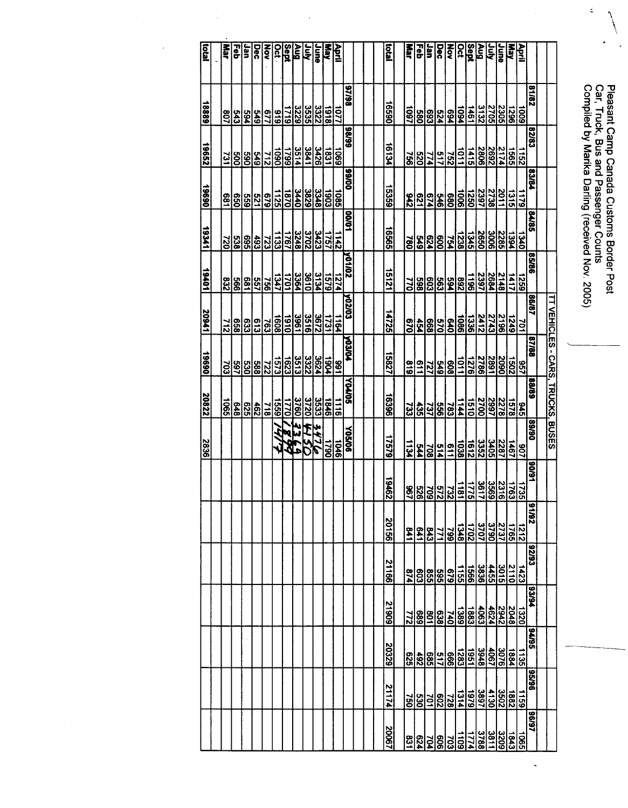Pleasant Camp Canada Customs Border Post<br>Car, Truck, Bus and Passenger Counts<br>Compiled by Marika Darling (received Nov. 2005)

 $\overline{a}$ 

 $\frac{1}{2}$ 

| iad    | War        | Feb              | Jan        | Dec                    | š                 | <b>Oct</b>     | Aug<br>Sept |      | <b>Ain</b>                       | June | <b>Nay</b>  | April                            |               |  | istal        | <b>Rad</b>       | 릷                              | lar            | Dec        | <u>isla</u>         |                                   | Aug<br>Sept   |                                                                         | ξ           | <b>May</b><br>Van |                  | April             |              |                                          |
|--------|------------|------------------|------------|------------------------|-------------------|----------------|-------------|------|----------------------------------|------|-------------|----------------------------------|---------------|--|--------------|------------------|--------------------------------|----------------|------------|---------------------|-----------------------------------|---------------|-------------------------------------------------------------------------|-------------|-------------------|------------------|-------------------|--------------|------------------------------------------|
| 18889  | 35         |                  | 769        |                        | <u>ers</u>        | 616            | 1719        |      | 3325<br>3535<br>3229             |      | 8161        | <u>1077</u>                      | 86/46         |  | 06291        |                  | <u>   16  3 </u><br>  18  3  1 | 693            | 524        | $\frac{1}{2}$       |                                   | 1461          | $\frac{2705}{3132}$                                                     |             | 2305              | 96Z1             | $\overline{6001}$ | 28/18        |                                          |
| 19652  | 731        | go               | 069        |                        | $rac{212}{549}$   | $\overline{0}$ | 6621        |      | $\frac{3841}{3514}$              | 3426 | 1831        | $\frac{1069}{2}$                 | 66/86         |  | 16134        | 954              | 029                            | 774            |            | $\frac{752}{517}$   | $\frac{1}{2}$                     | 1415          | 2692<br>2806                                                            |             | 2174              | 1565             | $\frac{1152}{2}$  | 82/83        |                                          |
| 19690  | 650<br>681 |                  | 699        | $\frac{679}{521}$      |                   | 1125           | 1870        |      | 3348<br>3829<br>3440             |      | <b>1903</b> | 1085                             | 00/66         |  | 15359        |                  | $\frac{25}{25}$                | <b>P19</b>     |            | <u>1006<br/>546</u> |                                   | 0921          | 2397                                                                    | 82738       | 2011              | 1315             | $\overline{119}$  | <b>P3/84</b> |                                          |
| 112341 |            | $\frac{528}{20}$ | 695        |                        | $\frac{723}{493}$ | 133            | 1767        |      | $\frac{32248}{2248}$             |      |             | 1142                             | 10/00         |  | 16565        | $\overline{180}$ |                                | $rac{24}{549}$ | 009        |                     |                                   |               | <u>်၊ ပျပိုင်ပြင်ပြ</u><br>မြို့မျှမျှမျှမျှန်<br>မြို့မျှမျှမျှန်မြို့ |             |                   |                  | $\frac{1340}{2}$  | <b>S84A8</b> |                                          |
| 19401  | 232        | 566              | 189        | 33                     |                   | 347            | 1701        |      | 일임 <u>영</u><br>외음 <mark>성</mark> |      |             | $\frac{12}{15}$                  | <b>NO1102</b> |  | 15121        | $\overline{27}$  | 598                            | 603            | <b>£93</b> | $\frac{88}{25}$     |                                   |               | 2684<br>2397<br>1196                                                    |             | 2148              | $\overline{111}$ | 6921              | 98/98        |                                          |
| 17602  | 212        |                  | 633<br>658 | <u>ြီးခြံ</u>          |                   |                | 1910        | 3961 | 3516                             | 3672 |             | 뎱                                | <b>NO2103</b> |  | 14725        |                  | $\frac{454}{670}$              | 668            |            | <u>ဗြန္ဓါဒ္</u> ကို |                                   | <b>1336</b>   | 2412                                                                    | 2743        | 2196              | $\frac{1249}{ }$ | 701               | 18/98        |                                          |
| 06961  |            |                  |            | <u> ဒါဒါရွိရွိများ</u> |                   |                | 1623        |      |                                  |      |             | မျိုး (၁)<br>၁၂၁၂၁ ခု<br>၂၁၂၁ ခု | <b>Maker</b>  |  | 15827        | 618              | $\frac{9}{1}$                  | 121            |            | $rac{615}{809}$     |                                   |               | 20901<br>2786<br>1278<br>1011                                           |             |                   | 1502             | 957               | 87/88        | <u>IT VEHICLES - CARS, TRUCKS, BUSES</u> |
| 20822  | <b>S90</b> | 848              | <b>GZ9</b> | $\frac{462}{2}$        |                   | <u>rssa</u>    | 1770        |      | 3532<br>3720<br><u>3760</u>      |      | $rac{1}{2}$ | $\frac{1116}{11}$                | <b>SOLAOS</b> |  | 96291        | 733              | 435                            | 399            |            | $\frac{144}{783}$   |                                   | $\frac{1}{2}$ | 2997<br>2700                                                            |             | 2278              | 878              | $\frac{345}{5}$   | 68/88        |                                          |
| 2836   |            |                  |            |                        |                   |                |             | 停    | <b>SYTE</b>                      |      | 0621        | 1046                             | <b>Y0500</b>  |  | 62921        | 1134             | <b>FAA</b>                     | 708            | 514        | $\frac{1}{9}$       | 1038                              | $\frac{1}{2}$ | $\frac{2287}{3352}$                                                     |             |                   | $\frac{1467}{2}$ | <b>201</b>        | 06/68        |                                          |
|        |            |                  |            |                        |                   |                |             |      |                                  |      |             |                                  |               |  | 19462        |                  | <u>alalala</u>                 |                |            | $\frac{15}{25}$     |                                   | 1775          | $\frac{2120}{2800}$                                                     |             |                   | 1763             | 1735              | <b>L6/06</b> |                                          |
|        |            |                  |            |                        |                   |                |             |      |                                  |      |             |                                  |               |  | 99102        | 641              | $1 + 9$                        | E43            | 771        | 662                 | 1348                              | 2021          | 3707                                                                    | <b>O62E</b> | 2737              | 1765             | 1212              | 28/16        |                                          |
|        |            |                  |            |                        |                   |                |             |      |                                  |      |             |                                  |               |  | <b>21166</b> | 674              | 603                            | <b>SSS</b>     | 595        | 679                 | <b>SSL</b>                        | 1566          | 3836                                                                    | 4455        | 3015              | 2110             | 1423              | <b>C6/Z6</b> |                                          |
|        |            |                  |            |                        |                   |                |             |      |                                  |      |             |                                  |               |  | 60617        | <b>ZZZ</b>       | 689                            | 901            | 638        | <u>1389</u>         |                                   | 1883          | $\frac{4624}{4063}$                                                     |             | 2942              | 2048             | 1320              | <b>PS/24</b> |                                          |
|        |            |                  |            |                        |                   |                |             |      |                                  |      |             |                                  |               |  | <b>20329</b> | <b>929</b>       | 492                            | <b>G85</b>     | 517        | 666                 | $\overline{\overline{\text{ss}}}$ | 1951          | 3948                                                                    | 4067        | 3076              | 1884             | 1135              | <b>Seves</b> |                                          |
|        |            |                  |            |                        |                   |                |             |      |                                  |      |             |                                  |               |  | 21174        | <b>250</b>       | <b>S30</b>                     | š              | <b>209</b> | $\frac{1314}{728}$  |                                   | 6261          | 3897                                                                    | 4130        | 3502              | 2881             | $\frac{1159}{ }$  | 96/96        |                                          |
|        |            |                  |            |                        |                   |                |             |      |                                  |      |             |                                  |               |  | 20067        | 1831             | 624                            | ٦ğ             | 909        | $\overline{103}$    | is<br>I                           | 1774          | 3788                                                                    | 3811        | 3209              | 1843             | $\overline{5}$    | <b>L6/96</b> |                                          |

 $\ddot{\phantom{0}}$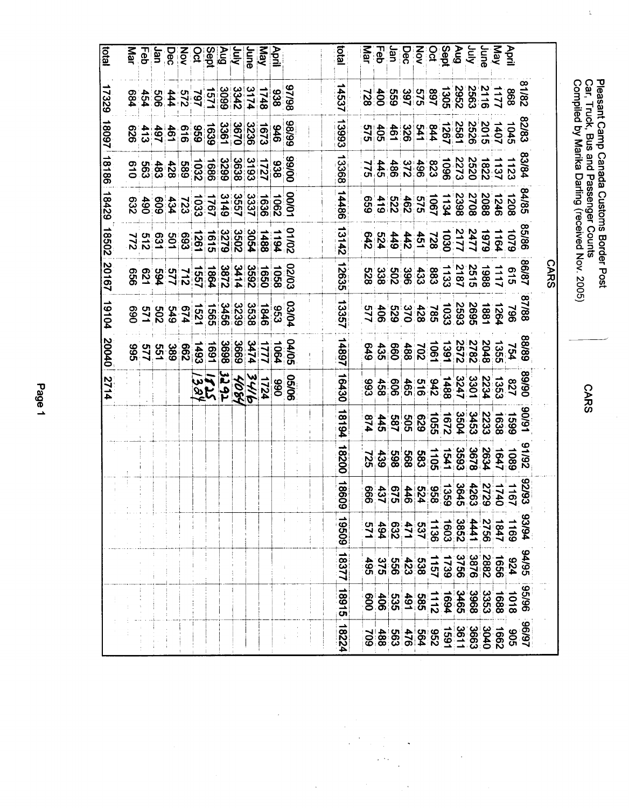|                                                                                                                                                                                                                                                                                                                                                                                                                                            |        |             |       |                                             |                                                              | <b>CARS</b> |       |       |       |       |       |           |       |       |       |       |
|--------------------------------------------------------------------------------------------------------------------------------------------------------------------------------------------------------------------------------------------------------------------------------------------------------------------------------------------------------------------------------------------------------------------------------------------|--------|-------------|-------|---------------------------------------------|--------------------------------------------------------------|-------------|-------|-------|-------|-------|-------|-----------|-------|-------|-------|-------|
|                                                                                                                                                                                                                                                                                                                                                                                                                                            |        |             |       |                                             |                                                              |             |       |       |       |       |       |           |       |       |       |       |
| April                                                                                                                                                                                                                                                                                                                                                                                                                                      |        |             |       |                                             |                                                              |             |       |       |       |       |       |           |       |       |       |       |
|                                                                                                                                                                                                                                                                                                                                                                                                                                            |        |             |       |                                             |                                                              |             |       |       |       |       |       |           |       |       |       |       |
| <b>May 25 Septe</b><br>May 26 Septe                                                                                                                                                                                                                                                                                                                                                                                                        |        |             |       |                                             |                                                              |             |       |       |       |       |       |           |       |       |       |       |
|                                                                                                                                                                                                                                                                                                                                                                                                                                            |        |             |       |                                             |                                                              |             |       |       |       |       |       |           |       |       |       |       |
|                                                                                                                                                                                                                                                                                                                                                                                                                                            |        |             |       |                                             |                                                              |             |       |       |       |       |       |           |       |       |       |       |
|                                                                                                                                                                                                                                                                                                                                                                                                                                            |        |             |       |                                             |                                                              |             |       |       |       |       |       |           |       |       |       |       |
|                                                                                                                                                                                                                                                                                                                                                                                                                                            |        |             |       |                                             |                                                              |             |       |       |       |       |       |           |       |       |       |       |
|                                                                                                                                                                                                                                                                                                                                                                                                                                            |        |             |       |                                             |                                                              |             |       |       |       |       |       |           |       |       |       |       |
|                                                                                                                                                                                                                                                                                                                                                                                                                                            |        |             |       |                                             |                                                              |             |       |       |       |       |       |           |       |       |       |       |
|                                                                                                                                                                                                                                                                                                                                                                                                                                            |        |             |       |                                             |                                                              |             |       |       |       |       |       |           |       |       |       |       |
|                                                                                                                                                                                                                                                                                                                                                                                                                                            |        |             |       |                                             |                                                              |             |       |       |       |       |       |           |       |       |       |       |
| 高岛县                                                                                                                                                                                                                                                                                                                                                                                                                                        |        |             |       | 8428<br>22222223223222224<br>22232322222224 | 8588<br>1079 1079 1079 1079 1079<br>1079 1079 1079 1079 1079 |             |       |       |       |       |       |           |       |       |       |       |
| piot                                                                                                                                                                                                                                                                                                                                                                                                                                       | 14537  | 13993       | 13368 | 14486                                       | 13142                                                        | 12635       | 13357 | 14897 | 16430 | 18194 | 18200 | 1860<br>ဖ | 19509 | 18377 | 18915 | 18224 |
|                                                                                                                                                                                                                                                                                                                                                                                                                                            |        |             |       |                                             |                                                              |             |       |       |       |       |       |           |       |       |       |       |
|                                                                                                                                                                                                                                                                                                                                                                                                                                            |        |             |       |                                             |                                                              |             |       |       |       |       |       |           |       |       |       |       |
|                                                                                                                                                                                                                                                                                                                                                                                                                                            | 82/938 | 9186<br>946 |       |                                             | 0126282828282828282                                          |             |       |       |       |       |       |           |       |       |       |       |
|                                                                                                                                                                                                                                                                                                                                                                                                                                            |        |             |       |                                             |                                                              |             |       |       |       |       |       |           |       |       |       |       |
| $\begin{array}{c}\n\mathbf{Q} & \mathbf{Q} & \mathbf{Q} \\ \hline\n\mathbf{Q} & \mathbf{Q} & \mathbf{Q} \\ \hline\n\mathbf{Q} & \mathbf{Q} & \mathbf{Q} \\ \hline\n\mathbf{Q} & \mathbf{Q} & \mathbf{Q} \\ \hline\n\mathbf{Q} & \mathbf{Q} & \mathbf{Q} \\ \hline\n\mathbf{Q} & \mathbf{Q} & \mathbf{Q} \\ \hline\n\mathbf{Q} & \mathbf{Q} & \mathbf{Q} \\ \hline\n\mathbf{Q} & \mathbf{Q} & \mathbf{Q} \\ \hline\n\mathbf{Q} & \mathbf{Q$ |        |             |       |                                             |                                                              |             |       |       |       |       |       |           |       |       |       |       |
|                                                                                                                                                                                                                                                                                                                                                                                                                                            |        |             |       |                                             |                                                              |             |       |       |       |       |       |           |       |       |       |       |
|                                                                                                                                                                                                                                                                                                                                                                                                                                            |        |             |       |                                             |                                                              |             |       |       |       |       |       |           |       |       |       |       |
|                                                                                                                                                                                                                                                                                                                                                                                                                                            |        |             |       |                                             |                                                              |             |       |       |       |       |       |           |       |       |       |       |
|                                                                                                                                                                                                                                                                                                                                                                                                                                            |        |             |       |                                             |                                                              |             |       |       |       |       |       |           |       |       |       |       |
|                                                                                                                                                                                                                                                                                                                                                                                                                                            |        |             |       |                                             |                                                              |             |       |       |       |       |       |           |       |       |       |       |
|                                                                                                                                                                                                                                                                                                                                                                                                                                            |        |             |       |                                             |                                                              |             |       |       |       |       |       |           |       |       |       |       |
|                                                                                                                                                                                                                                                                                                                                                                                                                                            |        |             |       |                                             |                                                              |             |       |       |       |       |       |           |       |       |       |       |
|                                                                                                                                                                                                                                                                                                                                                                                                                                            |        |             |       |                                             |                                                              |             |       |       |       |       |       |           |       |       |       |       |
| Mar                                                                                                                                                                                                                                                                                                                                                                                                                                        |        |             |       |                                             |                                                              |             |       |       |       |       |       |           |       |       |       |       |
| letal                                                                                                                                                                                                                                                                                                                                                                                                                                      | 17329  |             |       | 18097 18186 18429                           | 18502                                                        | 20167       | 19104 | 20040 | 2714  |       |       |           |       |       |       |       |
|                                                                                                                                                                                                                                                                                                                                                                                                                                            |        |             |       |                                             |                                                              |             |       |       |       |       |       |           |       |       |       |       |

 $\hat{\mathcal{I}}$ 

 $\ddot{\phantom{0}}$  $\ddot{\cdot}$ 

 $\frac{1}{2}$ 

 $\ddot{\phantom{0}}$ 

Page 1

**CARS** 

Pleasant Camp Canada Customs Border Post<br>Car, Truck, Bus and Passenger Counts<br>Compiled by Marika Darling (received Nov. 2005)

 $\mathbb{Z}$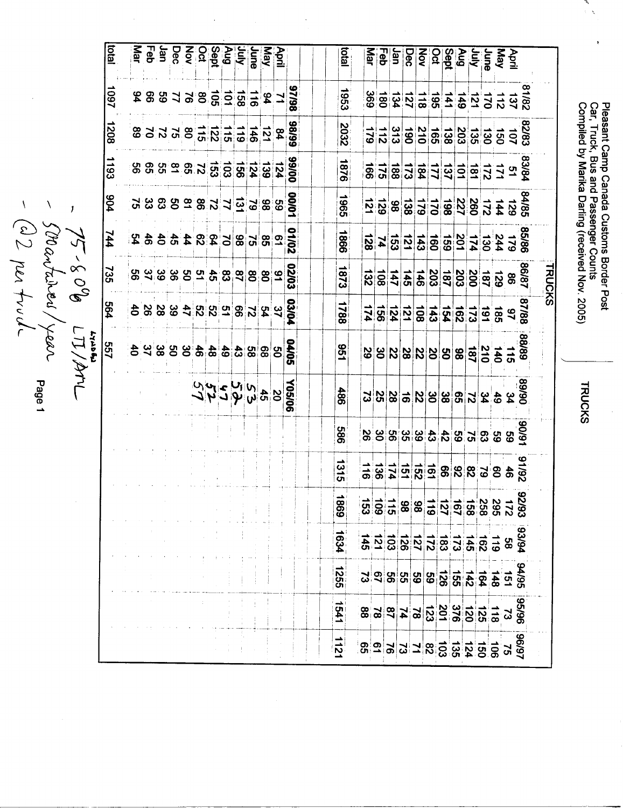Pleasant Camp Canada Customs Border Post<br>Car, Truck, Bus and Passenger Counts<br>Compiled by Marika Darling (received Nov. 2005)

J.

**TRUCKS** 

|                               |  |  |  |  |  |  | 86/26<br>688198558561<br>$\frac{98}{8} \frac{8}{8} \frac{1}{2} \frac{1}{2} \frac{1}{6} \frac{1}{6} \frac{1}{6} \frac{1}{6} \frac{1}{6} \frac{1}{6} \frac{1}{6} \frac{1}{6} \frac{1}{6} \frac{1}{6} \frac{1}{6} \frac{1}{6} \frac{1}{6} \frac{1}{6} \frac{1}{6} \frac{1}{6} \frac{1}{6} \frac{1}{6} \frac{1}{6} \frac{1}{6} \frac{1}{6} \frac{1}{6} \frac{1}{6} \frac{1}{6} \frac{1}{6} \frac{1}{6} \frac{1}{6} \frac$ | <b>Dial</b><br>£961<br>2032 |  |  |  |  |  | $\begin{array}{ccc} \mathcal{L} & \mathcal{L} & \mathcal{L} \\ \mathcal{L} & \mathcal{L} & \mathcal{L} \\ \mathcal{L} & \mathcal{L} & \mathcal{L} \end{array} \begin{array}{ccc} \mathcal{L} & \mathcal{L} \\ \mathcal{L} & \mathcal{L} \\ \mathcal{L} & \mathcal{L} \end{array} \begin{array}{ccc} \mathcal{L} & \mathcal{L} \\ \mathcal{L} & \mathcal{L} \\ \mathcal{L} & \mathcal{L} \end{array} \begin{array}{ccc} \mathcal{L} & \mathcal{L} \\ \mathcal{L} & \mathcal{L} \\ \mathcal{L$<br>$\frac{185}{80}$ |
|-------------------------------|--|--|--|--|--|--|-----------------------------------------------------------------------------------------------------------------------------------------------------------------------------------------------------------------------------------------------------------------------------------------------------------------------------------------------------------------------------------------------------------------------|-----------------------------|--|--|--|--|--|------------------------------------------------------------------------------------------------------------------------------------------------------------------------------------------------------------------------------------------------------------------------------------------------------------------------------------------------------------------------------------------------------------------------------------------------------------------------------------------------------------------|
|                               |  |  |  |  |  |  |                                                                                                                                                                                                                                                                                                                                                                                                                       |                             |  |  |  |  |  |                                                                                                                                                                                                                                                                                                                                                                                                                                                                                                                  |
|                               |  |  |  |  |  |  |                                                                                                                                                                                                                                                                                                                                                                                                                       |                             |  |  |  |  |  |                                                                                                                                                                                                                                                                                                                                                                                                                                                                                                                  |
|                               |  |  |  |  |  |  |                                                                                                                                                                                                                                                                                                                                                                                                                       |                             |  |  |  |  |  |                                                                                                                                                                                                                                                                                                                                                                                                                                                                                                                  |
|                               |  |  |  |  |  |  |                                                                                                                                                                                                                                                                                                                                                                                                                       |                             |  |  |  |  |  |                                                                                                                                                                                                                                                                                                                                                                                                                                                                                                                  |
|                               |  |  |  |  |  |  |                                                                                                                                                                                                                                                                                                                                                                                                                       | 978                         |  |  |  |  |  | $\frac{36}{36}$ = $\frac{1}{2}$ = $\frac{1}{2}$ = $\frac{1}{2}$ = $\frac{1}{2}$ = $\frac{1}{2}$ = $\frac{1}{2}$ = $\frac{1}{2}$ = $\frac{1}{2}$ = $\frac{1}{2}$                                                                                                                                                                                                                                                                                                                                                  |
|                               |  |  |  |  |  |  |                                                                                                                                                                                                                                                                                                                                                                                                                       |                             |  |  |  |  |  |                                                                                                                                                                                                                                                                                                                                                                                                                                                                                                                  |
|                               |  |  |  |  |  |  | <u>988888892488889</u>                                                                                                                                                                                                                                                                                                                                                                                                | <b>1965</b>                 |  |  |  |  |  | $\frac{25}{128}$ $\frac{25}{128}$ $\frac{25}{128}$ $\frac{25}{128}$ $\frac{25}{128}$ $\frac{25}{128}$ $\frac{25}{128}$ $\frac{25}{128}$ $\frac{25}{128}$ $\frac{25}{128}$                                                                                                                                                                                                                                                                                                                                        |
|                               |  |  |  |  |  |  | $\frac{26}{25}$ $\frac{8}{25}$ $\frac{8}{25}$ $\frac{8}{25}$ $\frac{8}{25}$ $\frac{8}{4}$ $\frac{8}{4}$ $\frac{8}{6}$ $\frac{2}{4}$                                                                                                                                                                                                                                                                                   | 998                         |  |  |  |  |  |                                                                                                                                                                                                                                                                                                                                                                                                                                                                                                                  |
|                               |  |  |  |  |  |  |                                                                                                                                                                                                                                                                                                                                                                                                                       |                             |  |  |  |  |  |                                                                                                                                                                                                                                                                                                                                                                                                                                                                                                                  |
|                               |  |  |  |  |  |  |                                                                                                                                                                                                                                                                                                                                                                                                                       | 1873                        |  |  |  |  |  | $\frac{888}{85}$ $\frac{85}{82}$ $\frac{85}{82}$ $\frac{85}{82}$ $\frac{85}{82}$ $\frac{85}{82}$ $\frac{85}{82}$ $\frac{85}{82}$                                                                                                                                                                                                                                                                                                                                                                                 |
|                               |  |  |  |  |  |  |                                                                                                                                                                                                                                                                                                                                                                                                                       | 1788                        |  |  |  |  |  | $\frac{25}{28}$ $\frac{25}{28}$ $\frac{25}{28}$ $\frac{25}{28}$ $\frac{25}{28}$ $\frac{25}{28}$ $\frac{25}{28}$ $\frac{25}{28}$ $\frac{25}{28}$ $\frac{25}{28}$                                                                                                                                                                                                                                                                                                                                                  |
| 5 8 8 9 3 4 4 5 8 8 8 9 3 4 5 |  |  |  |  |  |  | <b>GO/PO</b>                                                                                                                                                                                                                                                                                                                                                                                                          | <b>951</b>                  |  |  |  |  |  |                                                                                                                                                                                                                                                                                                                                                                                                                                                                                                                  |
|                               |  |  |  |  |  |  |                                                                                                                                                                                                                                                                                                                                                                                                                       | 486                         |  |  |  |  |  |                                                                                                                                                                                                                                                                                                                                                                                                                                                                                                                  |
|                               |  |  |  |  |  |  |                                                                                                                                                                                                                                                                                                                                                                                                                       | 989                         |  |  |  |  |  |                                                                                                                                                                                                                                                                                                                                                                                                                                                                                                                  |
|                               |  |  |  |  |  |  |                                                                                                                                                                                                                                                                                                                                                                                                                       | 1315                        |  |  |  |  |  | $\frac{1}{2}$ $\frac{1}{2}$ $\frac{1}{2}$ $\frac{1}{2}$ $\frac{1}{2}$ $\frac{1}{2}$ $\frac{1}{2}$ $\frac{1}{2}$ $\frac{1}{2}$ $\frac{1}{2}$ $\frac{1}{2}$ $\frac{1}{2}$ $\frac{1}{2}$ $\frac{1}{2}$ $\frac{1}{2}$ $\frac{1}{2}$ $\frac{1}{2}$ $\frac{1}{2}$ $\frac{1}{2}$ $\frac{1}{2}$ $\frac{1}{2}$ $\frac{1}{2}$                                                                                                                                                                                              |
|                               |  |  |  |  |  |  |                                                                                                                                                                                                                                                                                                                                                                                                                       | $\vec{a}$<br>ගී             |  |  |  |  |  | $\frac{35}{36} = \frac{13}{36} = \frac{13}{36} = \frac{13}{36} = \frac{13}{36} = \frac{13}{36} = \frac{13}{36} = \frac{13}{36} = \frac{13}{36} = \frac{13}{36} = \frac{13}{36} = \frac{13}{36} = \frac{13}{36} = \frac{13}{36} = \frac{13}{36} = \frac{13}{36} = \frac{13}{36} = \frac{13}{36} = \frac{13}{36} = \frac{13}{36} = \frac{13}{36} = \frac{13}{36} =$                                                                                                                                                |
|                               |  |  |  |  |  |  |                                                                                                                                                                                                                                                                                                                                                                                                                       | 1634                        |  |  |  |  |  |                                                                                                                                                                                                                                                                                                                                                                                                                                                                                                                  |
|                               |  |  |  |  |  |  |                                                                                                                                                                                                                                                                                                                                                                                                                       | 552                         |  |  |  |  |  | <u>ង ១ ឌ ឌ ឌ ឌ ឌ ដ ដ ទ ។ ទ ឌ</u>                                                                                                                                                                                                                                                                                                                                                                                                                                                                                 |
|                               |  |  |  |  |  |  |                                                                                                                                                                                                                                                                                                                                                                                                                       |                             |  |  |  |  |  |                                                                                                                                                                                                                                                                                                                                                                                                                                                                                                                  |
|                               |  |  |  |  |  |  |                                                                                                                                                                                                                                                                                                                                                                                                                       | <b>1541</b>                 |  |  |  |  |  | 89<br>8 2 3 3 3 3 3 3 3 4 5 6 8 8                                                                                                                                                                                                                                                                                                                                                                                                                                                                                |
|                               |  |  |  |  |  |  |                                                                                                                                                                                                                                                                                                                                                                                                                       |                             |  |  |  |  |  | 8982289329939                                                                                                                                                                                                                                                                                                                                                                                                                                                                                                    |

- 75-80% LI/AML<br>- Sorantainen/year page 1<br>- (22 par truch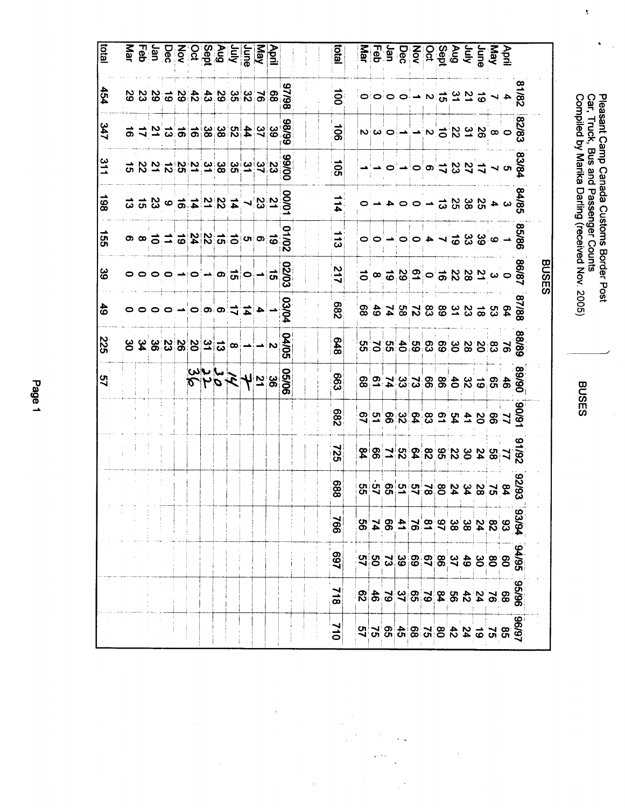|                                                                        |            | Car, Truck,           |                       | Pleasant Camp Canada Customs Border Post<br>Compiled by Marika Darling (received Nov. 2005)<br>Bus and Passenger Counts |                            |                    |               |                                                                                          |                   | <b>BUSES</b>      |     |                |     |            |
|------------------------------------------------------------------------|------------|-----------------------|-----------------------|-------------------------------------------------------------------------------------------------------------------------|----------------------------|--------------------|---------------|------------------------------------------------------------------------------------------|-------------------|-------------------|-----|----------------|-----|------------|
|                                                                        |            |                       |                       |                                                                                                                         |                            | <b>BUSES</b>       |               |                                                                                          |                   |                   |     |                |     |            |
|                                                                        |            |                       |                       |                                                                                                                         |                            |                    |               |                                                                                          |                   | -6/06             |     |                |     |            |
|                                                                        |            |                       | $\frac{288}{9} - 528$ |                                                                                                                         |                            |                    |               | នាំ ១ នាំ ១ នាំ នាំ នាំ នាំ នាំ នាំ នាំ នាំ<br>នាំ ១ នាំ នាំ នាំ នាំ នាំ នាំ នាំ នាំ នាំ |                   |                   |     | 89888888888888 |     |            |
|                                                                        |            |                       |                       |                                                                                                                         |                            |                    |               |                                                                                          |                   |                   |     |                |     |            |
|                                                                        |            |                       |                       |                                                                                                                         |                            |                    |               |                                                                                          |                   |                   |     |                |     |            |
|                                                                        |            |                       |                       |                                                                                                                         |                            |                    |               |                                                                                          |                   |                   |     |                |     |            |
|                                                                        |            |                       |                       |                                                                                                                         |                            |                    |               |                                                                                          |                   |                   |     |                |     |            |
|                                                                        |            |                       |                       |                                                                                                                         |                            |                    |               |                                                                                          |                   |                   |     |                |     |            |
| April 2018<br>2019 - 2019 10:00:00:00<br>2019 - 2020 10:00:00:00:00:00 |            |                       |                       |                                                                                                                         |                            |                    |               |                                                                                          |                   | <b>DESCRETTES</b> |     |                |     |            |
|                                                                        |            |                       |                       |                                                                                                                         |                            |                    |               |                                                                                          |                   |                   |     |                |     |            |
|                                                                        |            |                       |                       |                                                                                                                         |                            |                    |               |                                                                                          |                   |                   |     |                |     |            |
|                                                                        |            |                       |                       |                                                                                                                         |                            |                    |               |                                                                                          |                   |                   |     |                |     |            |
|                                                                        |            |                       |                       |                                                                                                                         |                            |                    |               |                                                                                          |                   |                   |     |                |     |            |
|                                                                        |            |                       |                       |                                                                                                                         |                            |                    |               |                                                                                          |                   |                   |     |                |     |            |
| latal                                                                  | $\ddot{5}$ | $\overline{5}$        | $\overline{5}$        | $-114$                                                                                                                  | $\frac{1}{3}$              | 217                | 289           | 848                                                                                      | <b>663</b>        | <b>289</b>        | 522 | 889            | 766 | <b>L69</b> |
|                                                                        |            |                       |                       |                                                                                                                         |                            |                    |               |                                                                                          |                   |                   |     |                |     |            |
|                                                                        |            |                       | 888 29 31             |                                                                                                                         |                            |                    | <b>PO/SO</b>  |                                                                                          |                   |                   |     |                |     |            |
|                                                                        |            | 8899<br>29<br>29<br>4 |                       | $\frac{00001}{2}$                                                                                                       | $rac{1}{6}$<br>$rac{1}{6}$ | $\frac{02003}{10}$ |               | $\frac{04005}{1}$                                                                        | $\frac{6566}{36}$ |                   |     |                |     |            |
| <u>April</u><br><u>Nap</u>                                             |            |                       |                       |                                                                                                                         |                            |                    |               |                                                                                          |                   |                   |     |                |     |            |
|                                                                        |            |                       |                       |                                                                                                                         |                            |                    | $\frac{4}{4}$ |                                                                                          |                   |                   |     |                |     |            |

**2233333345636969** 

718

 $012$ 

 $\sqrt{2}$ 

 $\frac{454}{1}$ 

 $\frac{347}{2}$ 

 $\frac{21}{1}$ 

 $\overline{861}$ 

 $\frac{155}{2}$ 

္တြ

 $\frac{4}{9}$ 

225

57

3.9.3.4.8.9.9.9.9.9.9

 $\frac{1}{10}$   $\frac{1}{10}$   $\frac{1}{10}$   $\frac{1}{10}$   $\frac{1}{10}$   $\frac{1}{10}$   $\frac{1}{10}$   $\frac{1}{10}$   $\frac{1}{10}$ 

 $\frac{99}{36} = \frac{19}{4} = \frac{19}{10} = \frac{19}{10} = \frac{19}{10} = \frac{19}{10} = \frac{19}{10} = \frac{19}{10} = \frac{19}{10} = \frac{19}{10} = \frac{19}{10} = \frac{19}{10} = \frac{19}{10} = \frac{19}{10} = \frac{19}{10} = \frac{19}{10} = \frac{19}{10} = \frac{19}{10} = \frac{19}{10} = \frac{19}{10} = \frac{19}{10} = \frac{19}{10} = \$ 

 $rac{1}{4}$  $\frac{1}{4}$  $\frac{1}{4}$  $\frac{1}{6}$  $\frac{1}{6}$  $\frac{1}{6}$  $\frac{1}{6}$  $\frac{1}{6}$ 

 $\begin{array}{c}\n\circ & \circ & \circ \\
\circ & \circ & \circ \\
\circ & \circ & \circ\n\end{array}$ 

 $\circ \circ \circ \circ \rightarrow \circ \rightarrow \circ \circ$ 

 $\circ \circ \circ \neg \circ \circ \neg \circ \neg \neg$ 

 $34948$ 

Page 1

ว<br>ข้ **Canada Customs Border Post** 

 $\bar{\psi}$